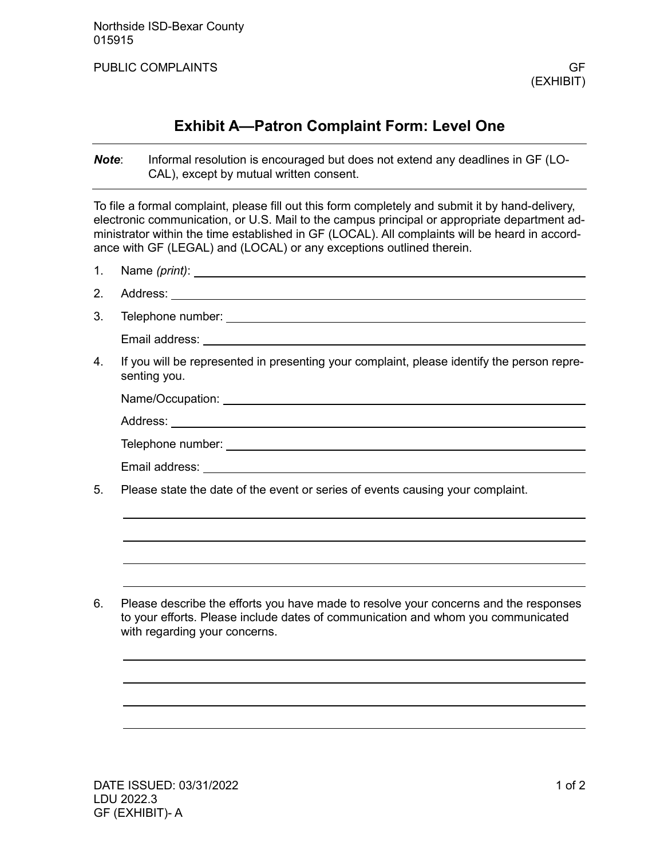PUBLIC COMPLAINTS GF

# **Exhibit A—Patron Complaint Form: Level One**

*Note*: Informal resolution is encouraged but does not extend any deadlines in GF (LO-CAL), except by mutual written consent.

To file a formal complaint, please fill out this form completely and submit it by hand-delivery, electronic communication, or U.S. Mail to the campus principal or appropriate department administrator within the time established in GF (LOCAL). All complaints will be heard in accordance with GF (LEGAL) and (LOCAL) or any exceptions outlined therein.

- 1. Name *(print)*:
- 2. Address:
- 3. Telephone number:

Email address:

4. If you will be represented in presenting your complaint, please identify the person representing you.

| Name/Occupation:  |
|-------------------|
| Address:          |
| Telephone number: |
| Email address:    |

5. Please state the date of the event or series of events causing your complaint.

6. Please describe the efforts you have made to resolve your concerns and the responses to your efforts. Please include dates of communication and whom you communicated with regarding your concerns.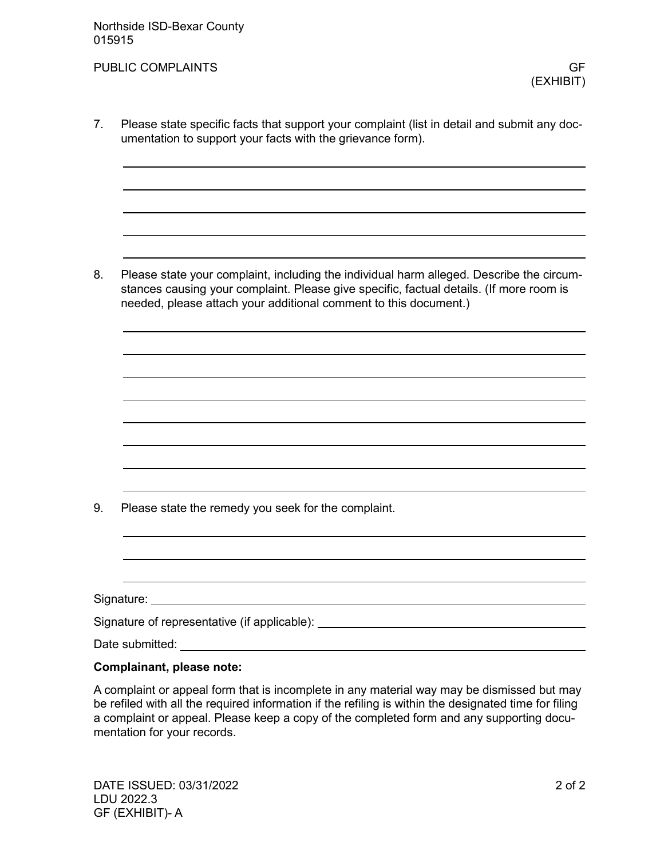7. Please state specific facts that support your complaint (list in detail and submit any documentation to support your facts with the grievance form).

8. Please state your complaint, including the individual harm alleged. Describe the circumstances causing your complaint. Please give specific, factual details. (If more room is needed, please attach your additional comment to this document.)

9. Please state the remedy you seek for the complaint.

| Signature: _                                   |  |
|------------------------------------------------|--|
| Signature of representative (if applicable): _ |  |
|                                                |  |

Date submitted: University of the submitted:

### **Complainant, please note:**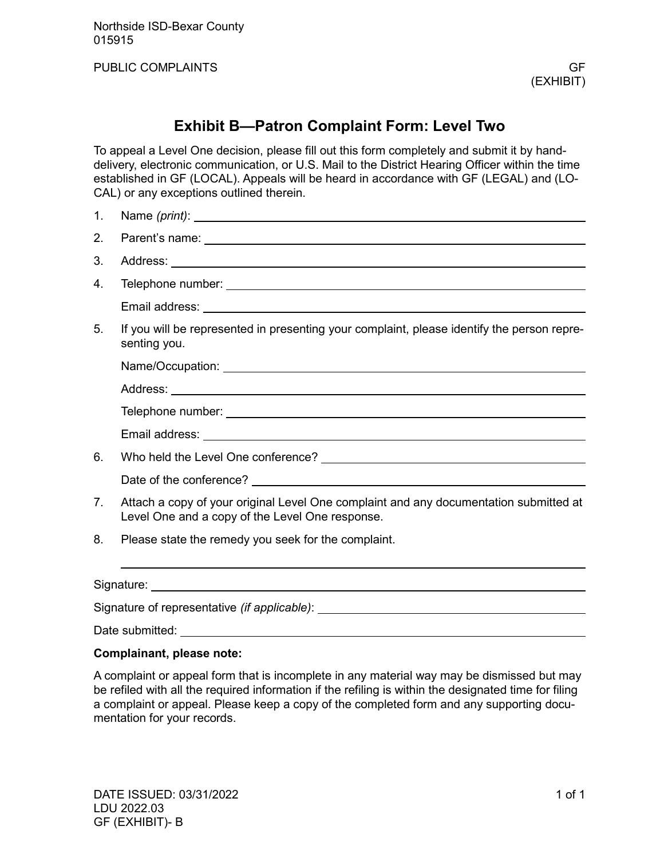Northside ISD-Bexar County 015915

PUBLIC COMPLAINTS GF

## **Exhibit B—Patron Complaint Form: Level Two**

To appeal a Level One decision, please fill out this form completely and submit it by handdelivery, electronic communication, or U.S. Mail to the District Hearing Officer within the time established in GF (LOCAL). Appeals will be heard in accordance with GF (LEGAL) and (LO-CAL) or any exceptions outlined therein.

- 1. Name *(print)*:
- 2. Parent's name:
- 3. Address:
- 4. Telephone number:

Email address:

5. If you will be represented in presenting your complaint, please identify the person representing you.

Name/Occupation:

Address: which is a set of the set of the set of the set of the set of the set of the set of the set of the set of the set of the set of the set of the set of the set of the set of the set of the set of the set of the set

Email address:

6. Who held the Level One conference?

Date of the conference?

- 7. Attach a copy of your original Level One complaint and any documentation submitted at Level One and a copy of the Level One response.
- 8. Please state the remedy you seek for the complaint.

Signature: the contract of the contract of the contract of the contract of the contract of the contract of the contract of the contract of the contract of the contract of the contract of the contract of the contract of the

Signature of representative *(if applicable)*:

Date submitted:

#### **Complainant, please note:**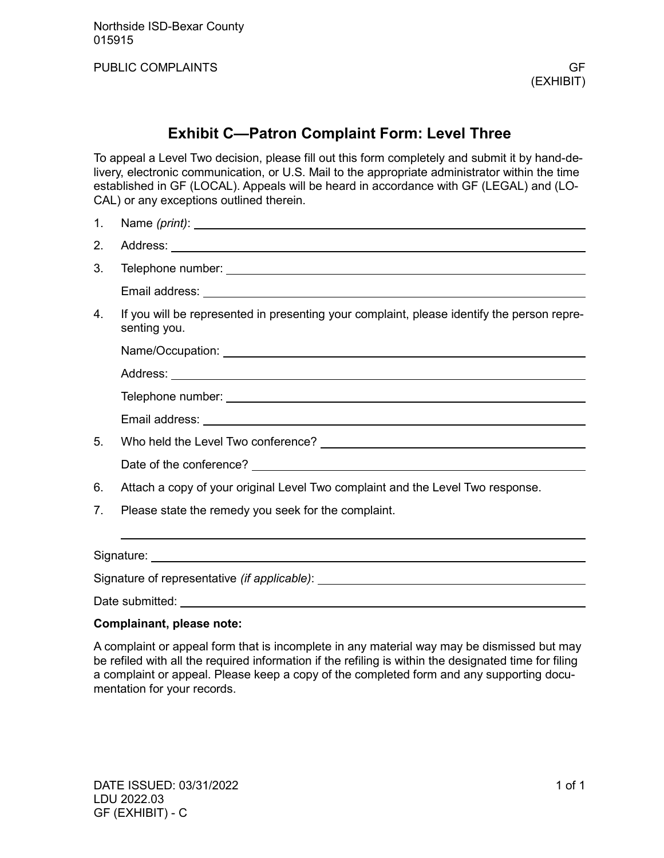Northside ISD-Bexar County 015915

PUBLIC COMPLAINTS GF

### **Exhibit C—Patron Complaint Form: Level Three**

To appeal a Level Two decision, please fill out this form completely and submit it by hand-delivery, electronic communication, or U.S. Mail to the appropriate administrator within the time established in GF (LOCAL). Appeals will be heard in accordance with GF (LEGAL) and (LO-CAL) or any exceptions outlined therein.

- 1. Name *(print)*:
- 2. Address:
- 3. Telephone number:
	- Email address:
- 4. If you will be represented in presenting your complaint, please identify the person representing you.

| 5. |                                                                                |
|----|--------------------------------------------------------------------------------|
|    |                                                                                |
| 6. | Attach a copy of your original Level Two complaint and the Level Two response. |

7. Please state the remedy you seek for the complaint.

Signature:

Signature of representative *(if applicable)*:

Date submitted: University of the submitted:

#### **Complainant, please note:**